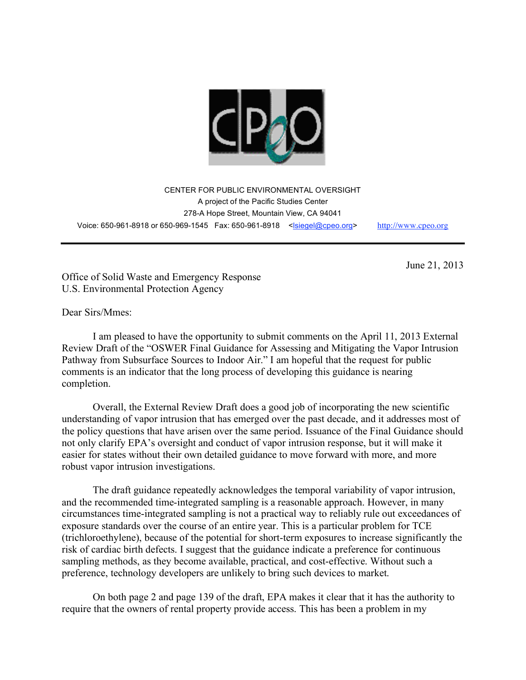

CENTER FOR PUBLIC ENVIRONMENTAL OVERSIGHT A project of the Pacific Studies Center 278-A Hope Street, Mountain View, CA 94041 Voice: 650-961-8918 or 650-969-1545 Fax: 650-961-8918 <lsiegel@cpeo.org> http://www.cpeo.org

June 21, 2013

Office of Solid Waste and Emergency Response U.S. Environmental Protection Agency

Dear Sirs/Mmes:

I am pleased to have the opportunity to submit comments on the April 11, 2013 External Review Draft of the "OSWER Final Guidance for Assessing and Mitigating the Vapor Intrusion Pathway from Subsurface Sources to Indoor Air." I am hopeful that the request for public comments is an indicator that the long process of developing this guidance is nearing completion.

Overall, the External Review Draft does a good job of incorporating the new scientific understanding of vapor intrusion that has emerged over the past decade, and it addresses most of the policy questions that have arisen over the same period. Issuance of the Final Guidance should not only clarify EPA's oversight and conduct of vapor intrusion response, but it will make it easier for states without their own detailed guidance to move forward with more, and more robust vapor intrusion investigations.

The draft guidance repeatedly acknowledges the temporal variability of vapor intrusion, and the recommended time-integrated sampling is a reasonable approach. However, in many circumstances time-integrated sampling is not a practical way to reliably rule out exceedances of exposure standards over the course of an entire year. This is a particular problem for TCE (trichloroethylene), because of the potential for short-term exposures to increase significantly the risk of cardiac birth defects. I suggest that the guidance indicate a preference for continuous sampling methods, as they become available, practical, and cost-effective. Without such a preference, technology developers are unlikely to bring such devices to market.

On both page 2 and page 139 of the draft, EPA makes it clear that it has the authority to require that the owners of rental property provide access. This has been a problem in my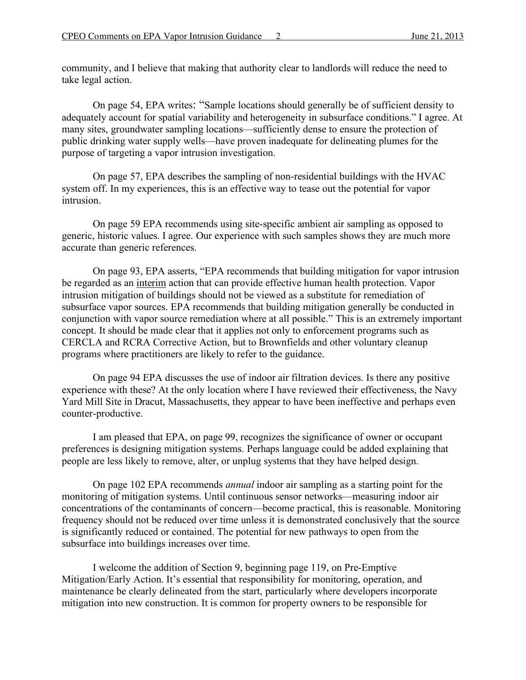community, and I believe that making that authority clear to landlords will reduce the need to take legal action.

On page 54, EPA writes: "Sample locations should generally be of sufficient density to adequately account for spatial variability and heterogeneity in subsurface conditions." I agree. At many sites, groundwater sampling locations—sufficiently dense to ensure the protection of public drinking water supply wells—have proven inadequate for delineating plumes for the purpose of targeting a vapor intrusion investigation.

On page 57, EPA describes the sampling of non-residential buildings with the HVAC system off. In my experiences, this is an effective way to tease out the potential for vapor intrusion.

On page 59 EPA recommends using site-specific ambient air sampling as opposed to generic, historic values. I agree. Our experience with such samples shows they are much more accurate than generic references.

On page 93, EPA asserts, "EPA recommends that building mitigation for vapor intrusion be regarded as an interim action that can provide effective human health protection. Vapor intrusion mitigation of buildings should not be viewed as a substitute for remediation of subsurface vapor sources. EPA recommends that building mitigation generally be conducted in conjunction with vapor source remediation where at all possible." This is an extremely important concept. It should be made clear that it applies not only to enforcement programs such as CERCLA and RCRA Corrective Action, but to Brownfields and other voluntary cleanup programs where practitioners are likely to refer to the guidance.

On page 94 EPA discusses the use of indoor air filtration devices. Is there any positive experience with these? At the only location where I have reviewed their effectiveness, the Navy Yard Mill Site in Dracut, Massachusetts, they appear to have been ineffective and perhaps even counter-productive.

I am pleased that EPA, on page 99, recognizes the significance of owner or occupant preferences is designing mitigation systems. Perhaps language could be added explaining that people are less likely to remove, alter, or unplug systems that they have helped design.

On page 102 EPA recommends *annual* indoor air sampling as a starting point for the monitoring of mitigation systems. Until continuous sensor networks—measuring indoor air concentrations of the contaminants of concern—become practical, this is reasonable. Monitoring frequency should not be reduced over time unless it is demonstrated conclusively that the source is significantly reduced or contained. The potential for new pathways to open from the subsurface into buildings increases over time.

I welcome the addition of Section 9, beginning page 119, on Pre-Emptive Mitigation/Early Action. It's essential that responsibility for monitoring, operation, and maintenance be clearly delineated from the start, particularly where developers incorporate mitigation into new construction. It is common for property owners to be responsible for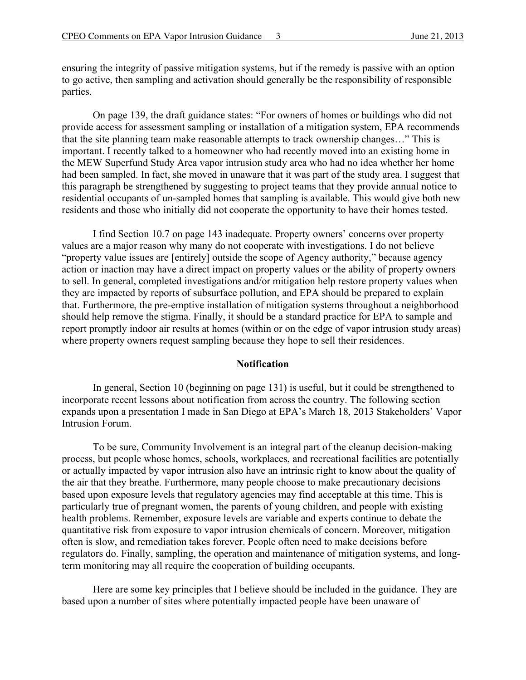ensuring the integrity of passive mitigation systems, but if the remedy is passive with an option to go active, then sampling and activation should generally be the responsibility of responsible parties.

On page 139, the draft guidance states: "For owners of homes or buildings who did not provide access for assessment sampling or installation of a mitigation system, EPA recommends that the site planning team make reasonable attempts to track ownership changes…" This is important. I recently talked to a homeowner who had recently moved into an existing home in the MEW Superfund Study Area vapor intrusion study area who had no idea whether her home had been sampled. In fact, she moved in unaware that it was part of the study area. I suggest that this paragraph be strengthened by suggesting to project teams that they provide annual notice to residential occupants of un-sampled homes that sampling is available. This would give both new residents and those who initially did not cooperate the opportunity to have their homes tested.

I find Section 10.7 on page 143 inadequate. Property owners' concerns over property values are a major reason why many do not cooperate with investigations. I do not believe "property value issues are [entirely] outside the scope of Agency authority," because agency action or inaction may have a direct impact on property values or the ability of property owners to sell. In general, completed investigations and/or mitigation help restore property values when they are impacted by reports of subsurface pollution, and EPA should be prepared to explain that. Furthermore, the pre-emptive installation of mitigation systems throughout a neighborhood should help remove the stigma. Finally, it should be a standard practice for EPA to sample and report promptly indoor air results at homes (within or on the edge of vapor intrusion study areas) where property owners request sampling because they hope to sell their residences.

## **Notification**

In general, Section 10 (beginning on page 131) is useful, but it could be strengthened to incorporate recent lessons about notification from across the country. The following section expands upon a presentation I made in San Diego at EPA's March 18, 2013 Stakeholders' Vapor Intrusion Forum.

To be sure, Community Involvement is an integral part of the cleanup decision-making process, but people whose homes, schools, workplaces, and recreational facilities are potentially or actually impacted by vapor intrusion also have an intrinsic right to know about the quality of the air that they breathe. Furthermore, many people choose to make precautionary decisions based upon exposure levels that regulatory agencies may find acceptable at this time. This is particularly true of pregnant women, the parents of young children, and people with existing health problems. Remember, exposure levels are variable and experts continue to debate the quantitative risk from exposure to vapor intrusion chemicals of concern. Moreover, mitigation often is slow, and remediation takes forever. People often need to make decisions before regulators do. Finally, sampling, the operation and maintenance of mitigation systems, and longterm monitoring may all require the cooperation of building occupants.

Here are some key principles that I believe should be included in the guidance. They are based upon a number of sites where potentially impacted people have been unaware of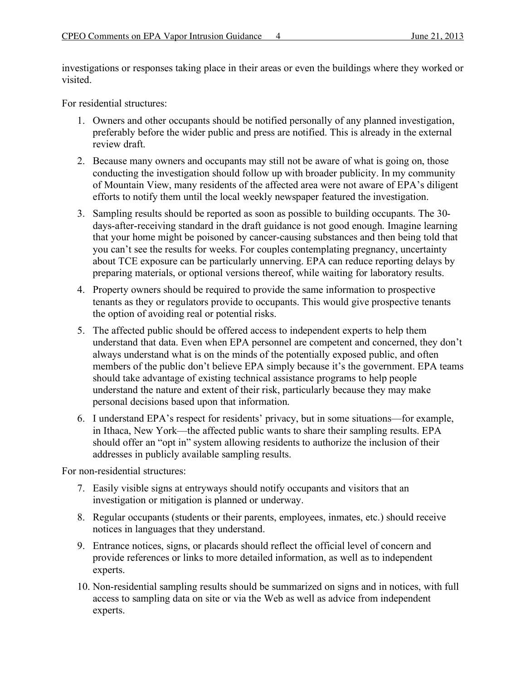investigations or responses taking place in their areas or even the buildings where they worked or visited.

For residential structures:

- 1. Owners and other occupants should be notified personally of any planned investigation, preferably before the wider public and press are notified. This is already in the external review draft.
- 2. Because many owners and occupants may still not be aware of what is going on, those conducting the investigation should follow up with broader publicity. In my community of Mountain View, many residents of the affected area were not aware of EPA's diligent efforts to notify them until the local weekly newspaper featured the investigation.
- 3. Sampling results should be reported as soon as possible to building occupants. The 30 days-after-receiving standard in the draft guidance is not good enough. Imagine learning that your home might be poisoned by cancer-causing substances and then being told that you can't see the results for weeks. For couples contemplating pregnancy, uncertainty about TCE exposure can be particularly unnerving. EPA can reduce reporting delays by preparing materials, or optional versions thereof, while waiting for laboratory results.
- 4. Property owners should be required to provide the same information to prospective tenants as they or regulators provide to occupants. This would give prospective tenants the option of avoiding real or potential risks.
- 5. The affected public should be offered access to independent experts to help them understand that data. Even when EPA personnel are competent and concerned, they don't always understand what is on the minds of the potentially exposed public, and often members of the public don't believe EPA simply because it's the government. EPA teams should take advantage of existing technical assistance programs to help people understand the nature and extent of their risk, particularly because they may make personal decisions based upon that information.
- 6. I understand EPA's respect for residents' privacy, but in some situations—for example, in Ithaca, New York—the affected public wants to share their sampling results. EPA should offer an "opt in" system allowing residents to authorize the inclusion of their addresses in publicly available sampling results.

For non-residential structures:

- 7. Easily visible signs at entryways should notify occupants and visitors that an investigation or mitigation is planned or underway.
- 8. Regular occupants (students or their parents, employees, inmates, etc.) should receive notices in languages that they understand.
- 9. Entrance notices, signs, or placards should reflect the official level of concern and provide references or links to more detailed information, as well as to independent experts.
- 10. Non-residential sampling results should be summarized on signs and in notices, with full access to sampling data on site or via the Web as well as advice from independent experts.